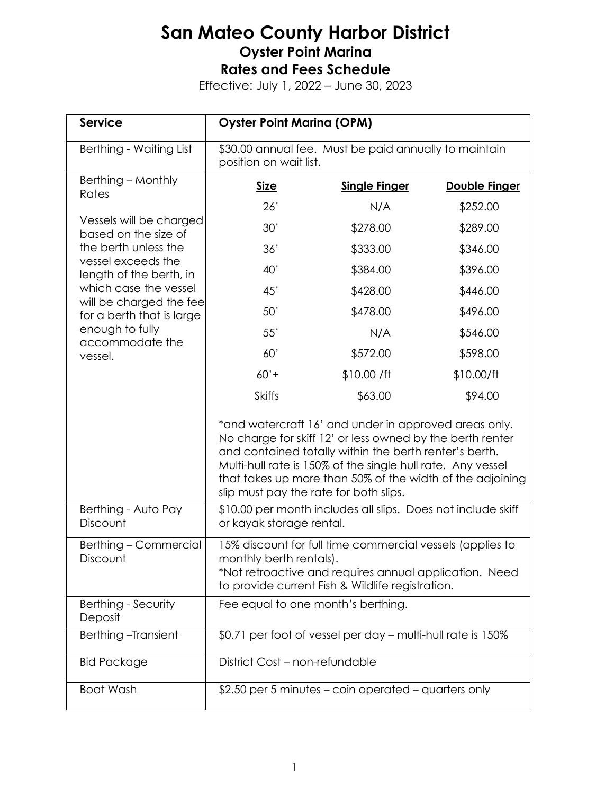| <b>Service</b>                                                                                                                                                                                                                                             | <b>Oyster Point Marina (OPM)</b>                                                                                                                                                                                                                                                                                                                   |                                                      |                      |  |
|------------------------------------------------------------------------------------------------------------------------------------------------------------------------------------------------------------------------------------------------------------|----------------------------------------------------------------------------------------------------------------------------------------------------------------------------------------------------------------------------------------------------------------------------------------------------------------------------------------------------|------------------------------------------------------|----------------------|--|
| Berthing - Waiting List                                                                                                                                                                                                                                    | \$30.00 annual fee. Must be paid annually to maintain<br>position on wait list.                                                                                                                                                                                                                                                                    |                                                      |                      |  |
| Berthing - Monthly<br>Rates                                                                                                                                                                                                                                | <b>Size</b>                                                                                                                                                                                                                                                                                                                                        | <b>Single Finger</b>                                 | <b>Double Finger</b> |  |
| Vessels will be charged<br>based on the size of<br>the berth unless the<br>vessel exceeds the<br>length of the berth, in<br>which case the vessel<br>will be charged the fee<br>for a berth that is large<br>enough to fully<br>accommodate the<br>vessel. | 26'                                                                                                                                                                                                                                                                                                                                                | N/A                                                  | \$252.00             |  |
|                                                                                                                                                                                                                                                            | 30'                                                                                                                                                                                                                                                                                                                                                | \$278.00                                             | \$289.00             |  |
|                                                                                                                                                                                                                                                            | 36'                                                                                                                                                                                                                                                                                                                                                | \$333.00                                             | \$346.00             |  |
|                                                                                                                                                                                                                                                            | 40'                                                                                                                                                                                                                                                                                                                                                | \$384.00                                             | \$396.00             |  |
|                                                                                                                                                                                                                                                            | 45'                                                                                                                                                                                                                                                                                                                                                | \$428.00                                             | \$446.00             |  |
|                                                                                                                                                                                                                                                            | 50'                                                                                                                                                                                                                                                                                                                                                | \$478.00                                             | \$496.00             |  |
|                                                                                                                                                                                                                                                            | 55'                                                                                                                                                                                                                                                                                                                                                | N/A                                                  | \$546.00             |  |
|                                                                                                                                                                                                                                                            | 60'                                                                                                                                                                                                                                                                                                                                                | \$572.00                                             | \$598.00             |  |
|                                                                                                                                                                                                                                                            | $60'$ +                                                                                                                                                                                                                                                                                                                                            | \$10.00 / ft                                         | \$10.00/ft           |  |
|                                                                                                                                                                                                                                                            | <b>Skiffs</b>                                                                                                                                                                                                                                                                                                                                      | \$63.00                                              | \$94.00              |  |
|                                                                                                                                                                                                                                                            | *and watercraft 16' and under in approved areas only.<br>No charge for skiff 12' or less owned by the berth renter<br>and contained totally within the berth renter's berth.<br>Multi-hull rate is 150% of the single hull rate. Any vessel<br>that takes up more than 50% of the width of the adjoining<br>slip must pay the rate for both slips. |                                                      |                      |  |
| Berthing - Auto Pay<br>Discount                                                                                                                                                                                                                            | \$10.00 per month includes all slips. Does not include skiff<br>or kayak storage rental.                                                                                                                                                                                                                                                           |                                                      |                      |  |
| Berthing - Commercial<br>Discount                                                                                                                                                                                                                          | 15% discount for full time commercial vessels (applies to<br>monthly berth rentals)<br>*Not retroactive and requires annual application. Need<br>to provide current Fish & Wildlife registration.                                                                                                                                                  |                                                      |                      |  |
| Berthing - Security<br>Deposit                                                                                                                                                                                                                             | Fee equal to one month's berthing.                                                                                                                                                                                                                                                                                                                 |                                                      |                      |  |
| Berthing-Transient                                                                                                                                                                                                                                         | \$0.71 per foot of vessel per day - multi-hull rate is 150%                                                                                                                                                                                                                                                                                        |                                                      |                      |  |
| <b>Bid Package</b>                                                                                                                                                                                                                                         | District Cost - non-refundable                                                                                                                                                                                                                                                                                                                     |                                                      |                      |  |
| <b>Boat Wash</b>                                                                                                                                                                                                                                           |                                                                                                                                                                                                                                                                                                                                                    | \$2.50 per 5 minutes – coin operated – quarters only |                      |  |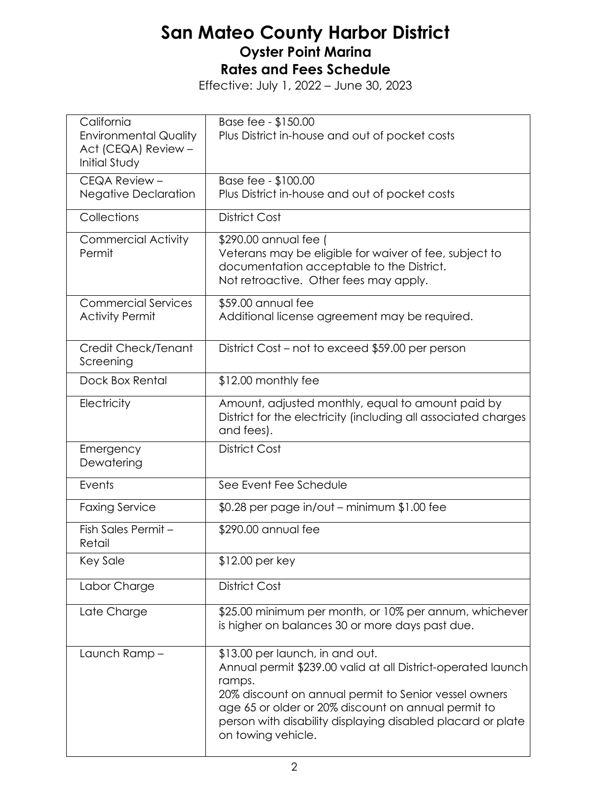| California<br><b>Environmental Quality</b><br>Act (CEQA) Review -<br><b>Initial Study</b> | Base fee - \$150.00<br>Plus District in-house and out of pocket costs                                                                                                                                                                                                                                          |
|-------------------------------------------------------------------------------------------|----------------------------------------------------------------------------------------------------------------------------------------------------------------------------------------------------------------------------------------------------------------------------------------------------------------|
| CEQA Review -<br><b>Negative Declaration</b>                                              | Base fee - \$100.00<br>Plus District in-house and out of pocket costs                                                                                                                                                                                                                                          |
| Collections                                                                               | <b>District Cost</b>                                                                                                                                                                                                                                                                                           |
| <b>Commercial Activity</b><br>Permit                                                      | \$290.00 annual fee (<br>Veterans may be eligible for waiver of fee, subject to<br>documentation acceptable to the District.<br>Not retroactive. Other fees may apply.                                                                                                                                         |
| <b>Commercial Services</b><br><b>Activity Permit</b>                                      | \$59.00 annual fee<br>Additional license agreement may be required.                                                                                                                                                                                                                                            |
| Credit Check/Tenant<br>Screening                                                          | District Cost – not to exceed \$59.00 per person                                                                                                                                                                                                                                                               |
| Dock Box Rental                                                                           | \$12.00 monthly fee                                                                                                                                                                                                                                                                                            |
| Electricity                                                                               | Amount, adjusted monthly, equal to amount paid by<br>District for the electricity (including all associated charges<br>and fees).                                                                                                                                                                              |
| Emergency<br>Dewatering                                                                   | <b>District Cost</b>                                                                                                                                                                                                                                                                                           |
| Events                                                                                    | See Event Fee Schedule                                                                                                                                                                                                                                                                                         |
| <b>Faxing Service</b>                                                                     | $$0.28$ per page in/out – minimum $$1.00$ fee                                                                                                                                                                                                                                                                  |
| Fish Sales Permit -<br>Retail                                                             | \$290.00 annual fee                                                                                                                                                                                                                                                                                            |
| Key Sale                                                                                  | \$12.00 per key                                                                                                                                                                                                                                                                                                |
| Labor Charge                                                                              | <b>District Cost</b>                                                                                                                                                                                                                                                                                           |
| Late Charge                                                                               | \$25.00 minimum per month, or 10% per annum, whichever<br>is higher on balances 30 or more days past due.                                                                                                                                                                                                      |
| Launch Ramp-                                                                              | \$13.00 per launch, in and out.<br>Annual permit \$239.00 valid at all District-operated launch<br>ramps.<br>20% discount on annual permit to Senior vessel owners<br>age 65 or older or 20% discount on annual permit to<br>person with disability displaying disabled placard or plate<br>on towing vehicle. |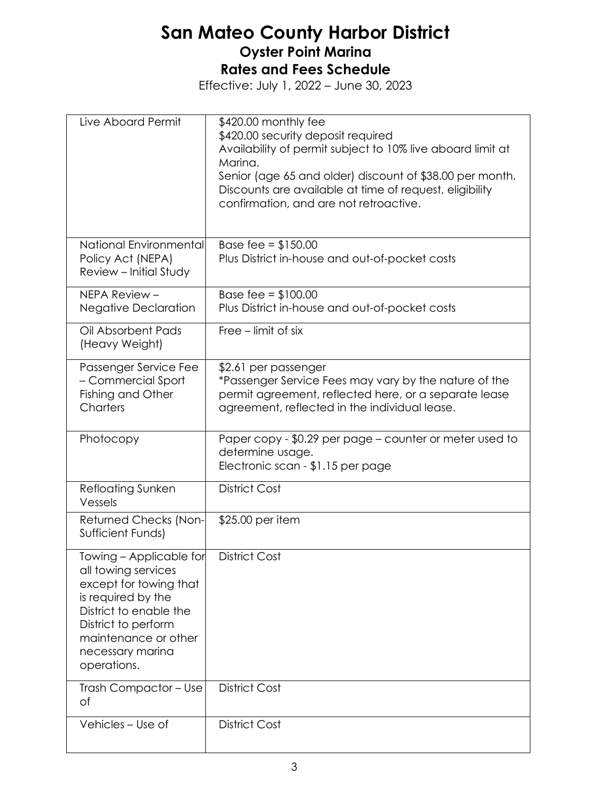| Live Aboard Permit                                                                                                                                                                                         | \$420.00 monthly fee<br>\$420.00 security deposit required<br>Availability of permit subject to 10% live aboard limit at<br>Marina.<br>Senior (age 65 and older) discount of \$38.00 per month.<br>Discounts are available at time of request, eligibility<br>confirmation, and are not retroactive. |
|------------------------------------------------------------------------------------------------------------------------------------------------------------------------------------------------------------|------------------------------------------------------------------------------------------------------------------------------------------------------------------------------------------------------------------------------------------------------------------------------------------------------|
| National Environmental<br>Policy Act (NEPA)<br>Review - Initial Study                                                                                                                                      | Base fee = $$150.00$<br>Plus District in-house and out-of-pocket costs                                                                                                                                                                                                                               |
| NEPA Review -<br><b>Negative Declaration</b>                                                                                                                                                               | Base fee = $$100.00$<br>Plus District in-house and out-of-pocket costs                                                                                                                                                                                                                               |
| Oil Absorbent Pads<br>(Heavy Weight)                                                                                                                                                                       | Free – limit of six                                                                                                                                                                                                                                                                                  |
| Passenger Service Fee<br>- Commercial Sport<br>Fishing and Other<br>Charters                                                                                                                               | \$2.61 per passenger<br>*Passenger Service Fees may vary by the nature of the<br>permit agreement, reflected here, or a separate lease<br>agreement, reflected in the individual lease.                                                                                                              |
| Photocopy                                                                                                                                                                                                  | Paper copy - \$0.29 per page – counter or meter used to<br>determine usage.<br>Electronic scan - \$1.15 per page                                                                                                                                                                                     |
| Refloating Sunken<br>Vessels                                                                                                                                                                               | <b>District Cost</b>                                                                                                                                                                                                                                                                                 |
| Returned Checks (Non-<br>Sufficient Funds)                                                                                                                                                                 | \$25.00 per item                                                                                                                                                                                                                                                                                     |
| Towing - Applicable for<br>all towing services<br>except for towing that<br>is required by the<br>District to enable the<br>District to perform<br>maintenance or other<br>necessary marina<br>operations. | <b>District Cost</b>                                                                                                                                                                                                                                                                                 |
| Trash Compactor - Use<br>of                                                                                                                                                                                | <b>District Cost</b>                                                                                                                                                                                                                                                                                 |
| Vehicles - Use of                                                                                                                                                                                          | <b>District Cost</b>                                                                                                                                                                                                                                                                                 |